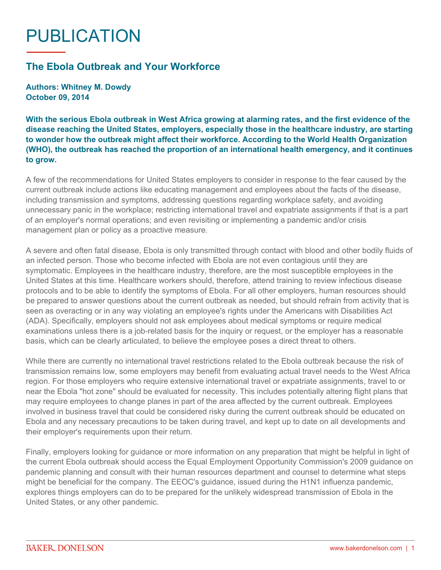## PUBLICATION

## **The Ebola Outbreak and Your Workforce**

**Authors: Whitney M. Dowdy October 09, 2014**

**With the serious Ebola outbreak in West Africa growing at alarming rates, and the first evidence of the disease reaching the United States, employers, especially those in the healthcare industry, are starting to wonder how the outbreak might affect their workforce. According to the World Health Organization (WHO), the outbreak has reached the proportion of an international health emergency, and it continues to grow.**

A few of the recommendations for United States employers to consider in response to the fear caused by the current outbreak include actions like educating management and employees about the facts of the disease, including transmission and symptoms, addressing questions regarding workplace safety, and avoiding unnecessary panic in the workplace; restricting international travel and expatriate assignments if that is a part of an employer's normal operations; and even revisiting or implementing a pandemic and/or crisis management plan or policy as a proactive measure.

A severe and often fatal disease, Ebola is only transmitted through contact with blood and other bodily fluids of an infected person. Those who become infected with Ebola are not even contagious until they are symptomatic. Employees in the healthcare industry, therefore, are the most susceptible employees in the United States at this time. Healthcare workers should, therefore, attend training to review infectious disease protocols and to be able to identify the symptoms of Ebola. For all other employers, human resources should be prepared to answer questions about the current outbreak as needed, but should refrain from activity that is seen as overacting or in any way violating an employee's rights under the Americans with Disabilities Act (ADA). Specifically, employers should not ask employees about medical symptoms or require medical examinations unless there is a job-related basis for the inquiry or request, or the employer has a reasonable basis, which can be clearly articulated, to believe the employee poses a direct threat to others.

While there are currently no international travel restrictions related to the Ebola outbreak because the risk of transmission remains low, some employers may benefit from evaluating actual travel needs to the West Africa region. For those employers who require extensive international travel or expatriate assignments, travel to or near the Ebola "hot zone" should be evaluated for necessity. This includes potentially altering flight plans that may require employees to change planes in part of the area affected by the current outbreak. Employees involved in business travel that could be considered risky during the current outbreak should be educated on Ebola and any necessary precautions to be taken during travel, and kept up to date on all developments and their employer's requirements upon their return.

Finally, employers looking for guidance or more information on any preparation that might be helpful in light of the current Ebola outbreak should access the Equal Employment Opportunity Commission's 2009 guidance on pandemic planning and consult with their human resources department and counsel to determine what steps might be beneficial for the company. The EEOC's guidance, issued during the H1N1 influenza pandemic, explores things employers can do to be prepared for the unlikely widespread transmission of Ebola in the United States, or any other pandemic.